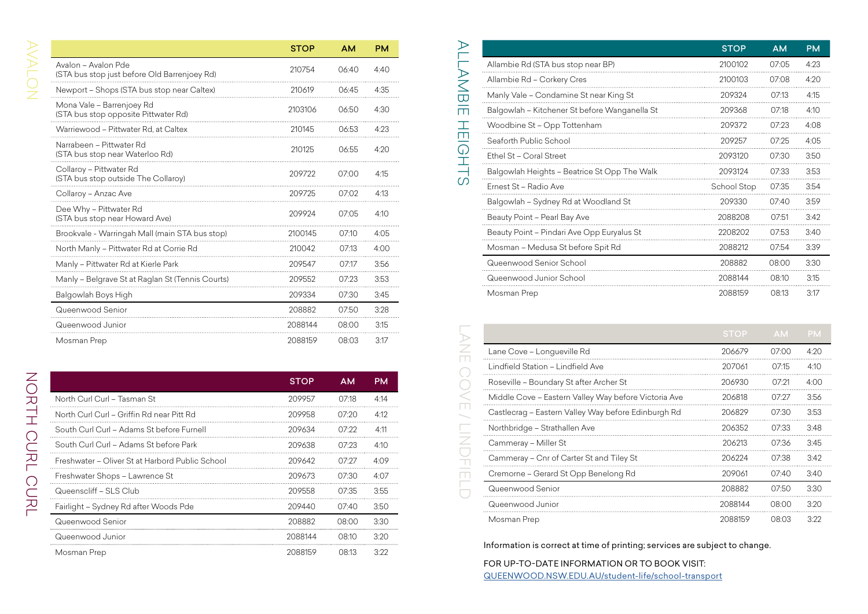|                                                                     | <b>STOP</b> | <b>AM</b> | <b>PM</b> |
|---------------------------------------------------------------------|-------------|-----------|-----------|
| Avalon - Avalon Pde<br>(STA bus stop just before Old Barrenjoey Rd) | 210754      | 06:40     | 4:40      |
| Newport - Shops (STA bus stop near Caltex)                          | 210619      | 06:45     | 4:35      |
| Mona Vale - Barrenjoey Rd<br>(STA bus stop opposite Pittwater Rd)   | 2103106     | 06:50     | 4:30      |
| Warriewood - Pittwater Rd, at Caltex                                | 210145      | 06:53     | 4:23      |
| Narrabeen – Pittwater Rd<br>(STA bus stop near Waterloo Rd)         | 210125      | 06:55     | 4:20      |
| Collaroy - Pittwater Rd<br>(STA bus stop outside The Collaroy)      | 209722      | 07:00     | 4:15      |
| Collaroy - Anzac Ave                                                | 209725      | 07:02     | 4:13      |
| Dee Why - Pittwater Rd<br>(STA bus stop near Howard Ave)            | 209924      | 07:05     | 4:10      |
| Brookvale - Warringah Mall (main STA bus stop)                      | 2100145     | 07:10     | 4:05      |
| North Manly - Pittwater Rd at Corrie Rd                             | 210042      | 07:13     | 4:00      |
| Manly - Pittwater Rd at Kierle Park                                 | 209547      | 07:17     | 3:56      |
| Manly - Belgrave St at Raglan St (Tennis Courts)                    | 209552      | 07:23     | 3:53      |
| Balgowlah Boys High                                                 | 209334      | 07:30     | 3:45      |
| Queenwood Senior                                                    | 208882      | 07:50     | 3:28      |
| Queenwood Junior                                                    | 2088144     | 08:00     | 3:15      |
| Mosman Prep                                                         | 2088159     | 08:03     | 3:17      |

|                                                 | <b>STOP</b> | AМ           | PМ   |
|-------------------------------------------------|-------------|--------------|------|
| North Curl Curl - Tasman St                     | 209957      | 07.18        | 4:14 |
| North Curl Curl - Griffin Rd near Pitt Rd       | 209958      | 07.20        | 4:12 |
| South Curl Curl - Adams St before Furnell       | 209634      | 07.22        | 4:11 |
| South Curl Curl - Adams St before Park          | 209638      | 07:23        | 4.10 |
| Freshwater - Oliver St at Harbord Public School | 209642      | 07.27        | 4.09 |
| Freshwater Shops - Lawrence St                  | 209673      | 07:30        | 4.07 |
| Queenscliff - SLS Club                          | 209558      | 07:35        | 3:55 |
| Fairlight - Sydney Rd after Woods Pde           | 209440      | 07.40        | 3:50 |
| Queenwood Senior                                | 208882      | <b>08:00</b> | 3:30 |
| Queenwood Junior                                | 2088144     | O8.10        | 3.20 |
| Mosman Prep                                     | 2088159     | 08.13        | 3.22 |

|                   |                                               | <b>STOP</b> | <b>AM</b> | <b>PM</b> |
|-------------------|-----------------------------------------------|-------------|-----------|-----------|
| AMBI              | Allambie Rd (STA bus stop near BP)            | 2100102     | 07:05     | 4:23      |
|                   | Allambie Rd - Corkery Cres                    | 2100103     | 07:08     | 4:20      |
|                   | Manly Vale - Condamine St near King St        | 209324      | 07:13     | 4:15      |
| $\overline{\Box}$ | Balgowlah - Kitchener St before Wanganella St | 209368      | 07:18     | 4:10      |
|                   | Woodbine St - Opp Tottenham                   | 209372      | 07:23     | 4:08      |
| Ш                 | Seaforth Public School                        | 209257      | 07:25     | 4:05      |
| $\mathbb O$       | Ethel St - Coral Street                       | 2093120     | 07:30     | 3:50      |
|                   | Balgowlah Heights - Beatrice St Opp The Walk  | 2093124     | 07:33     | 3:53      |
| M                 | Ernest St - Radio Ave                         | School Stop | 07:35     | 3:54      |
|                   | Balgowlah - Sydney Rd at Woodland St          | 209330      | 07:40     | 3:59      |
|                   | Beauty Point - Pearl Bay Ave                  | 2088208     | 07:51     | 3:42      |
|                   | Beauty Point - Pindari Ave Opp Euryalus St    | 2208202     | 07:53     | 3:40      |
|                   | Mosman - Medusa St before Spit Rd             | 2088212     | 07:54     | 3:39      |
|                   | Queenwood Senior School                       | 208882      | 08:00     | 3:30      |
|                   | Queenwood Junior School                       | 2088144     | 08:10     | 3:15      |
|                   | Mosman Prep                                   | 2088159     | 08:13     | 3:17      |

|                                                      | <b>STOP</b> | AM    | PM        |
|------------------------------------------------------|-------------|-------|-----------|
| Allambie Rd (STA bus stop near BP)                   | 2100102     | 07:05 | 4:23      |
| Allambie Rd - Corkery Cres                           | 2100103     | 07:08 | 4:20      |
| Manly Vale – Condamine St near King St               | 209324      | 07:13 | 4:15      |
| Balgowlah – Kitchener St before Wanganella St        | 209368      | 07:18 | 4:10      |
| Woodbine St - Opp Tottenham                          | 209372      | 07:23 | 4:08      |
| Seaforth Public School                               | 209257      | 07:25 | 4:05      |
| Ethel St - Coral Street                              | 2093120     | 07:30 | 3:50      |
| Balgowlah Heights - Beatrice St Opp The Walk         | 2093124     | 07:33 | 3:53      |
| Ernest St – Radio Ave                                | School Stop | 07:35 | 3:54      |
| Balgowlah – Sydney Rd at Woodland St                 | 209330      | 07:40 | 3:59      |
| Beauty Point – Pearl Bay Ave                         | 2088208     | 0/51  | 3:42      |
| Beauty Point - Pindari Ave Opp Euryalus St           | 2208202     | 07:53 | 3:40      |
| Mosman – Medusa St before Spit Rd                    | 2088212     | 07:54 | 3:39      |
| Queenwood Senior School                              | 208882      | 08:00 | 3:30      |
| Queenwood Junior School                              | 2088144     | 08:10 | 3:15      |
| Mosman Prep                                          | 2088159     | 08:13 | 3:17      |
|                                                      | <b>STOP</b> | AM.   | <b>PM</b> |
| Lane Cove - Longueville Rd                           | 206679      | 07:00 | 4:20      |
| Lindfield Station - Lindfield Ave                    | 207061      | 07:15 | 4:10      |
| Roseville – Boundary St after Archer St              | 206930      | 07:21 | 4:00      |
| Middle Cove - Eastern Valley Way before Victoria Ave | 206818      | 07:27 | 3:56      |
| Castlecrag - Eastern Valley Way before Edinburgh Rd  | 206829      | 07:30 | 3:53      |
| Northbridge – Strathallen Ave                        | 206352      | 07:33 | 3:48      |
| Cammeray – Miller St                                 | 206213      | 07:36 | 3:45      |
| Cammeray - Cnr of Carter St and Tiley St             | 206224      | 07:38 | 3:42      |
| Cremorne – Gerard St Opp Benelong Rd                 | 209061      | 07:40 | 3:40      |
| Queenwood Senior                                     | 208882      | 07:50 | 3:30      |
| Queenwood Junior                                     | 2088144     | 08:00 | 3:20      |
| Mosman Prep                                          | 2088159     | 08:03 | 3:22      |

Information is correct at time of printing; services are subject to change.

FOR UP-TO-DATE INFORMATION OR TO BOOK VISIT: [QUEENWOOD.NSW.EDU.AU/student-life/school-transport](http://www.QUEENWOOD.NSW.EDU.AU/student-life/school-transport)